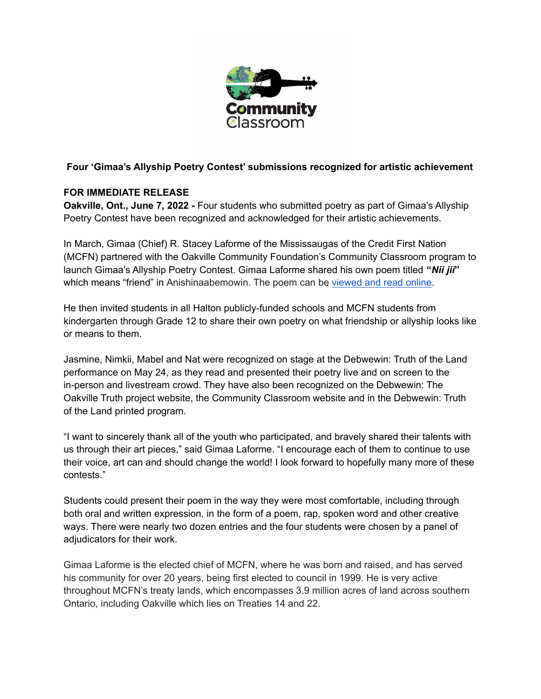

## **Four 'Gimaa's Allyship Poetry Contest' submissions recognized for artistic achievement**

### **FOR IMMEDIATE RELEASE**

**Oakville, Ont., June 7, 2022 -** Four students who submitted poetry as part of Gimaa's Allyship Poetry Contest have been recognized and acknowledged for their artistic achievements.

In March, Gimaa (Chief) R. Stacey Laforme of the Mississaugas of the Credit First Nation (MCFN) partnered with the Oakville Community Foundation's Community Classroom program to launch Gimaa's Allyship Poetry Contest. Gimaa Laforme shared his own poem titled **"***Nii jii***"** which means "friend" in Anishinaabemowin. The poem can be [viewed](https://www.theocf.org/nii-jii-a-poem-by-gimaa-r-stacey-laforme/) and read online.

He then invited students in all Halton publicly-funded schools and MCFN students from kindergarten through Grade 12 to share their own poetry on what friendship or allyship looks like or means to them.

Jasmine, Nimkii, Mabel and Nat were recognized on stage at the Debwewin: Truth of the Land performance on May 24, as they read and presented their poetry live and on screen to the in-person and livestream crowd. They have also been recognized on the Debwewin: The Oakville Truth project website, the Community Classroom website and in the Debwewin: Truth of the Land printed program.

"I want to sincerely thank all of the youth who participated, and bravely shared their talents with us through their art pieces," said Gimaa Laforme. "I encourage each of them to continue to use their voice, art can and should change the world! I look forward to hopefully many more of these contests."

Students could present their poem in the way they were most comfortable, including through both oral and written expression, in the form of a poem, rap, spoken word and other creative ways. There were nearly two dozen entries and the four students were chosen by a panel of adjudicators for their work.

Gimaa Laforme is the elected chief of MCFN, where he was born and raised, and has served his community for over 20 years, being first elected to council in 1999. He is very active throughout MCFN's treaty lands, which encompasses 3.9 million acres of land across southern Ontario, including Oakville which lies on Treaties 14 and 22.